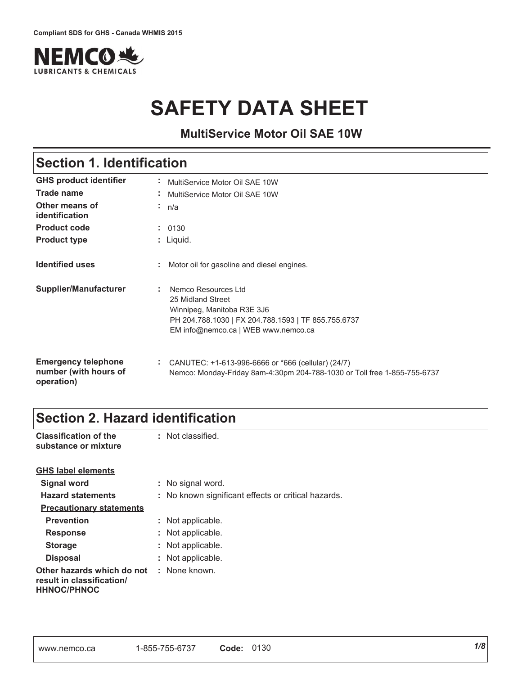

# **SAFETY DATA SHEET**

### **MultiService Motor Oil SAE 10W**

## **Section 1. Identification**

| <b>GHS product identifier</b>                                     | MultiService Motor Oil SAE 10W                                                                                                                                         |
|-------------------------------------------------------------------|------------------------------------------------------------------------------------------------------------------------------------------------------------------------|
| <b>Trade name</b>                                                 | MultiService Motor Oil SAE 10W                                                                                                                                         |
| Other means of<br>identification                                  | n/a<br>×.                                                                                                                                                              |
| <b>Product code</b>                                               | : 0130                                                                                                                                                                 |
| <b>Product type</b>                                               | : Liquid.                                                                                                                                                              |
| <b>Identified uses</b>                                            | t.<br>Motor oil for gasoline and diesel engines.                                                                                                                       |
| <b>Supplier/Manufacturer</b>                                      | : Nemco Resources Ltd<br>25 Midland Street<br>Winnipeg, Manitoba R3E 3J6<br>PH 204.788.1030   FX 204.788.1593   TF 855.755.6737<br>EM info@nemco.ca   WEB www.nemco.ca |
| <b>Emergency telephone</b><br>number (with hours of<br>operation) | ÷.<br>CANUTEC: +1-613-996-6666 or *666 (cellular) (24/7)<br>Nemco: Monday-Friday 8am-4:30pm 204-788-1030 or Toll free 1-855-755-6737                                   |

## **Section 2. Hazard identification**

| <b>Classification of the</b><br>substance or mixture                          | : Not classified.                                   |
|-------------------------------------------------------------------------------|-----------------------------------------------------|
| <b>GHS label elements</b>                                                     |                                                     |
| Signal word                                                                   | : No signal word.                                   |
| <b>Hazard statements</b>                                                      | : No known significant effects or critical hazards. |
| <b>Precautionary statements</b>                                               |                                                     |
| <b>Prevention</b>                                                             | : Not applicable.                                   |
| <b>Response</b>                                                               | : Not applicable.                                   |
| <b>Storage</b>                                                                | : Not applicable.                                   |
| <b>Disposal</b>                                                               | : Not applicable.                                   |
| Other hazards which do not<br>result in classification/<br><b>HHNOC/PHNOC</b> | : None known.                                       |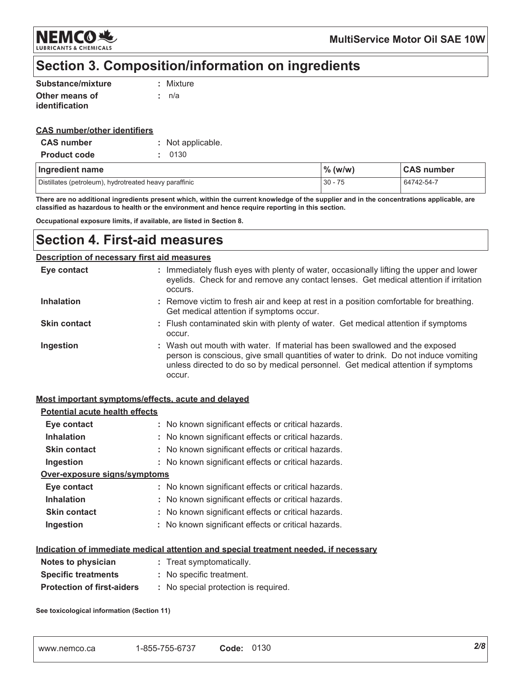NEMCO & **LUBRICANTS & CHEMICALS** 

**MultiService Motor Oil SAE 10W** 

### Section 3. Composition/information on ingredients

| Substance/mixture     | : Mixture |
|-----------------------|-----------|
| Other means of        | : n/a     |
| <i>identification</i> |           |

#### **CAS number/other identifiers**

| <b>CAS</b> number   | : Not applicable. |  |  |
|---------------------|-------------------|--|--|
| <b>Product code</b> | : 0130            |  |  |

| Ingredient name                                        | $\%$ (w/w) | <b>CAS number</b> |
|--------------------------------------------------------|------------|-------------------|
| Distillates (petroleum), hydrotreated heavy paraffinic | $30 - 75$  | 64742-54-7        |

There are no additional ingredients present which, within the current knowledge of the supplier and in the concentrations applicable, are classified as hazardous to health or the environment and hence require reporting in this section.

Occupational exposure limits, if available, are listed in Section 8.

### **Section 4. First-aid measures**

#### **Description of necessary first aid measures**

| Eye contact         | : Immediately flush eyes with plenty of water, occasionally lifting the upper and lower<br>eyelids. Check for and remove any contact lenses. Get medical attention if irritation<br>occurs.                                                                       |
|---------------------|-------------------------------------------------------------------------------------------------------------------------------------------------------------------------------------------------------------------------------------------------------------------|
| <b>Inhalation</b>   | : Remove victim to fresh air and keep at rest in a position comfortable for breathing.<br>Get medical attention if symptoms occur.                                                                                                                                |
| <b>Skin contact</b> | : Flush contaminated skin with plenty of water. Get medical attention if symptoms<br>occur.                                                                                                                                                                       |
| Ingestion           | : Wash out mouth with water. If material has been swallowed and the exposed<br>person is conscious, give small quantities of water to drink. Do not induce vomiting<br>unless directed to do so by medical personnel. Get medical attention if symptoms<br>occur. |

#### Most important symptoms/effects, acute and delayed

| <b>Potential acute health effects</b> |                                                                                             |
|---------------------------------------|---------------------------------------------------------------------------------------------|
| Eye contact                           | : No known significant effects or critical hazards.                                         |
| <b>Inhalation</b>                     | : No known significant effects or critical hazards.                                         |
| <b>Skin contact</b>                   | : No known significant effects or critical hazards.                                         |
| Ingestion                             | : No known significant effects or critical hazards.                                         |
| Over-exposure signs/symptoms          |                                                                                             |
| Eye contact                           | : No known significant effects or critical hazards.                                         |
| <b>Inhalation</b>                     | : No known significant effects or critical hazards.                                         |
| <b>Skin contact</b>                   | : No known significant effects or critical hazards.                                         |
| Ingestion                             | : No known significant effects or critical hazards.                                         |
|                                       | <u>Indication of immediate medical attention and special treatment needed, if necessary</u> |
| Notes to physician                    | : Treat symptomatically.                                                                    |
| <b>Specific treatments</b>            | : No specific treatment.                                                                    |

| <b>Protection of first-aiders</b> | No special protection is required. |  |
|-----------------------------------|------------------------------------|--|
|                                   |                                    |  |

See toxicological information (Section 11)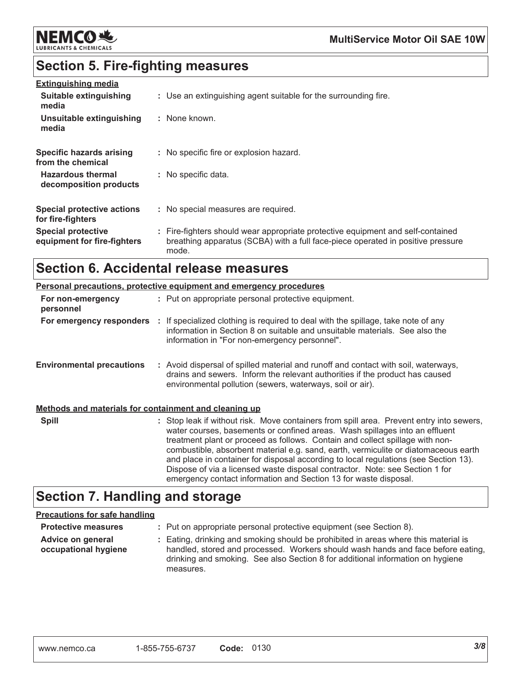

## **Section 5. Fire-fighting measures**

| <b>Extinguishing media</b>                               |                                                                                                                                                                             |
|----------------------------------------------------------|-----------------------------------------------------------------------------------------------------------------------------------------------------------------------------|
| Suitable extinguishing<br>media                          | : Use an extinguishing agent suitable for the surrounding fire.                                                                                                             |
| Unsuitable extinguishing<br>media                        | : None known.                                                                                                                                                               |
| Specific hazards arising<br>from the chemical            | : No specific fire or explosion hazard.                                                                                                                                     |
| <b>Hazardous thermal</b><br>decomposition products       | : No specific data.                                                                                                                                                         |
| Special protective actions<br>for fire-fighters          | : No special measures are required.                                                                                                                                         |
| <b>Special protective</b><br>equipment for fire-fighters | : Fire-fighters should wear appropriate protective equipment and self-contained<br>breathing apparatus (SCBA) with a full face-piece operated in positive pressure<br>mode. |

## **Section 6. Accidental release measures**

|                                                       | <b>Personal precautions, protective equipment and emergency procedures</b>                                                                                                                                                                                                                                                                                                                                                                                                                                                                                                                  |
|-------------------------------------------------------|---------------------------------------------------------------------------------------------------------------------------------------------------------------------------------------------------------------------------------------------------------------------------------------------------------------------------------------------------------------------------------------------------------------------------------------------------------------------------------------------------------------------------------------------------------------------------------------------|
| For non-emergency<br>personnel                        | : Put on appropriate personal protective equipment.                                                                                                                                                                                                                                                                                                                                                                                                                                                                                                                                         |
|                                                       | <b>For emergency responders</b> : If specialized clothing is required to deal with the spillage, take note of any<br>information in Section 8 on suitable and unsuitable materials. See also the<br>information in "For non-emergency personnel".                                                                                                                                                                                                                                                                                                                                           |
| <b>Environmental precautions</b>                      | : Avoid dispersal of spilled material and runoff and contact with soil, waterways,<br>drains and sewers. Inform the relevant authorities if the product has caused<br>environmental pollution (sewers, waterways, soil or air).                                                                                                                                                                                                                                                                                                                                                             |
| Methods and materials for containment and cleaning up |                                                                                                                                                                                                                                                                                                                                                                                                                                                                                                                                                                                             |
| <b>Spill</b>                                          | : Stop leak if without risk. Move containers from spill area. Prevent entry into sewers,<br>water courses, basements or confined areas. Wash spillages into an effluent<br>treatment plant or proceed as follows. Contain and collect spillage with non-<br>combustible, absorbent material e.g. sand, earth, vermiculite or diatomaceous earth<br>and place in container for disposal according to local regulations (see Section 13).<br>Dispose of via a licensed waste disposal contractor. Note: see Section 1 for<br>emergency contact information and Section 13 for waste disposal. |

## **Section 7. Handling and storage**

#### **Precautions for safe handling**

| <b>Protective measures</b>                | : Put on appropriate personal protective equipment (see Section 8).                                                                                                                                                                                                    |
|-------------------------------------------|------------------------------------------------------------------------------------------------------------------------------------------------------------------------------------------------------------------------------------------------------------------------|
| Advice on general<br>occupational hygiene | : Eating, drinking and smoking should be prohibited in areas where this material is<br>handled, stored and processed. Workers should wash hands and face before eating,<br>drinking and smoking. See also Section 8 for additional information on hygiene<br>measures. |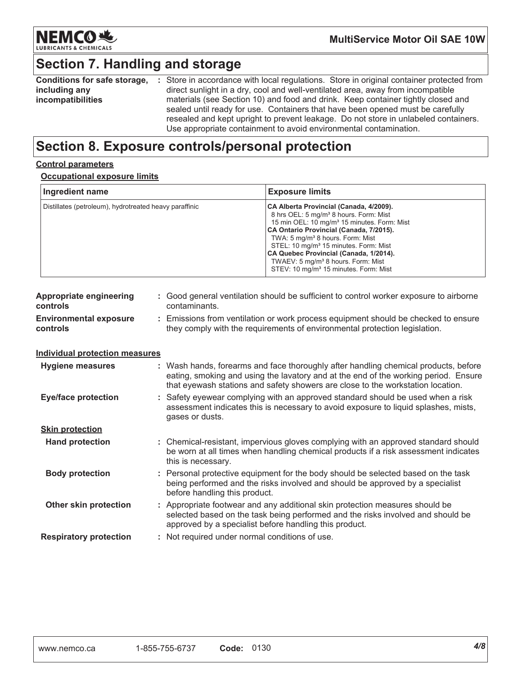

# Section 7. Handling and storage

| <b>Conditions for safe storage,</b> | : Store in accordance with local regulations. Store in original container protected from |
|-------------------------------------|------------------------------------------------------------------------------------------|
| including any                       | direct sunlight in a dry, cool and well-ventilated area, away from incompatible          |
| incompatibilities                   | materials (see Section 10) and food and drink. Keep container tightly closed and         |
|                                     | sealed until ready for use. Containers that have been opened must be carefully           |
|                                     | resealed and kept upright to prevent leakage. Do not store in unlabeled containers.      |
|                                     | Use appropriate containment to avoid environmental contamination.                        |

## Section 8. Exposure controls/personal protection

#### **Control parameters**

#### **Occupational exposure limits**

| Ingredient name                                             |                    | <b>Exposure limits</b>                                                                                                                                                                                                                                                                                                                                                                                                                                    |  |
|-------------------------------------------------------------|--------------------|-----------------------------------------------------------------------------------------------------------------------------------------------------------------------------------------------------------------------------------------------------------------------------------------------------------------------------------------------------------------------------------------------------------------------------------------------------------|--|
| Distillates (petroleum), hydrotreated heavy paraffinic      |                    | CA Alberta Provincial (Canada, 4/2009).<br>8 hrs OEL: 5 mg/m <sup>3</sup> 8 hours. Form: Mist<br>15 min OEL: 10 mg/m <sup>3</sup> 15 minutes. Form: Mist<br>CA Ontario Provincial (Canada, 7/2015).<br>TWA: 5 mg/m <sup>3</sup> 8 hours. Form: Mist<br>STEL: 10 mg/m <sup>3</sup> 15 minutes. Form: Mist<br>CA Quebec Provincial (Canada, 1/2014).<br>TWAEV: 5 mg/m <sup>3</sup> 8 hours. Form: Mist<br>STEV: 10 mg/m <sup>3</sup> 15 minutes. Form: Mist |  |
| <b>Appropriate engineering</b><br>contaminants.<br>controls |                    | : Good general ventilation should be sufficient to control worker exposure to airborne                                                                                                                                                                                                                                                                                                                                                                    |  |
| <b>Environmental exposure</b><br>controls                   |                    | : Emissions from ventilation or work process equipment should be checked to ensure<br>they comply with the requirements of environmental protection legislation.                                                                                                                                                                                                                                                                                          |  |
| <b>Individual protection measures</b>                       |                    |                                                                                                                                                                                                                                                                                                                                                                                                                                                           |  |
| <b>Hygiene measures</b>                                     |                    | : Wash hands, forearms and face thoroughly after handling chemical products, before<br>eating, smoking and using the lavatory and at the end of the working period. Ensure<br>that eyewash stations and safety showers are close to the workstation location.                                                                                                                                                                                             |  |
| <b>Eye/face protection</b>                                  | gases or dusts.    | Safety eyewear complying with an approved standard should be used when a risk<br>assessment indicates this is necessary to avoid exposure to liquid splashes, mists,                                                                                                                                                                                                                                                                                      |  |
| <b>Skin protection</b>                                      |                    |                                                                                                                                                                                                                                                                                                                                                                                                                                                           |  |
| <b>Hand protection</b>                                      | this is necessary. | : Chemical-resistant, impervious gloves complying with an approved standard should<br>be worn at all times when handling chemical products if a risk assessment indicates                                                                                                                                                                                                                                                                                 |  |
| <b>Body protection</b>                                      |                    | Personal protective equipment for the body should be selected based on the task<br>being performed and the risks involved and should be approved by a specialist<br>before handling this product.                                                                                                                                                                                                                                                         |  |
| Other skin protection                                       |                    | : Appropriate footwear and any additional skin protection measures should be<br>selected based on the task being performed and the risks involved and should be<br>approved by a specialist before handling this product.                                                                                                                                                                                                                                 |  |
| <b>Respiratory protection</b>                               |                    | : Not required under normal conditions of use.                                                                                                                                                                                                                                                                                                                                                                                                            |  |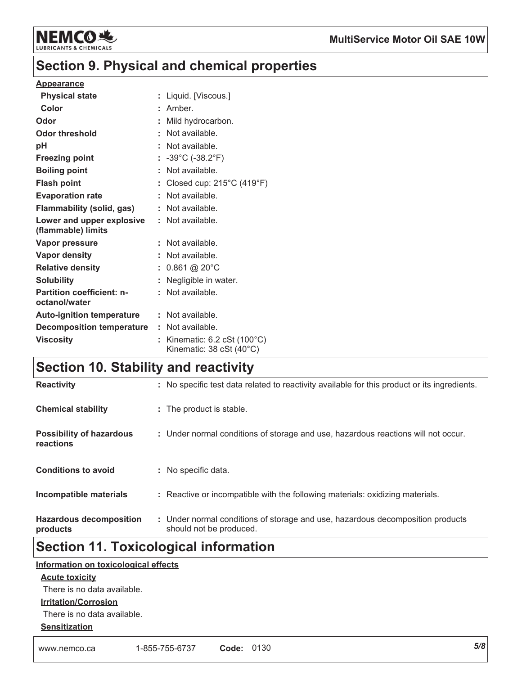

## **Section 9. Physical and chemical properties**

#### **Appearance**

| <b>Physical state</b>                             |    | Liquid. [Viscous.]                                     |
|---------------------------------------------------|----|--------------------------------------------------------|
| Color                                             |    | : Amber.                                               |
| Odor                                              |    | Mild hydrocarbon.                                      |
| Odor threshold                                    | ۰. | Not available.                                         |
| рH                                                |    | Not available.                                         |
| <b>Freezing point</b>                             |    | : $-39^{\circ}$ C ( $-38.2^{\circ}$ F)                 |
| <b>Boiling point</b>                              |    | Not available.                                         |
| <b>Flash point</b>                                |    | Closed cup: $215^{\circ}$ C (419 $^{\circ}$ F)         |
| <b>Evaporation rate</b>                           |    | : Not available.                                       |
| Flammability (solid, gas)                         |    | : Not available.                                       |
| Lower and upper explosive<br>(flammable) limits   |    | : Not available.                                       |
| Vapor pressure                                    |    | Not available.                                         |
| <b>Vapor density</b>                              |    | Not available.                                         |
| <b>Relative density</b>                           |    | $0.861$ @ 20 $^{\circ}$ C                              |
| <b>Solubility</b>                                 |    | Negligible in water.                                   |
| Partition coefficient: n-<br>octanol/water        |    | Not available.                                         |
| <b>Auto-ignition temperature : Not available.</b> |    |                                                        |
| <b>Decomposition temperature : Not available.</b> |    |                                                        |
| <b>Viscosity</b>                                  |    | Kinematic: 6.2 cSt (100°C)<br>Kinematic: 38 cSt (40°C) |

## **Section 10. Stability and reactivity**

| Incompatible materials<br><b>Hazardous decomposition</b> | : Reactive or incompatible with the following materials: oxidizing materials.<br>: Under normal conditions of storage and use, hazardous decomposition products |
|----------------------------------------------------------|-----------------------------------------------------------------------------------------------------------------------------------------------------------------|
| <b>Conditions to avoid</b>                               | : No specific data.                                                                                                                                             |
| <b>Possibility of hazardous</b><br>reactions             | : Under normal conditions of storage and use, hazardous reactions will not occur.                                                                               |
| <b>Chemical stability</b>                                | : The product is stable.                                                                                                                                        |
| <b>Reactivity</b>                                        | : No specific test data related to reactivity available for this product or its ingredients.                                                                    |

## **Section 11. Toxicological information**

#### Information on toxicological effects

#### **Acute toxicity**

There is no data available.

#### **Irritation/Corrosion**

There is no data available.

#### **Sensitization**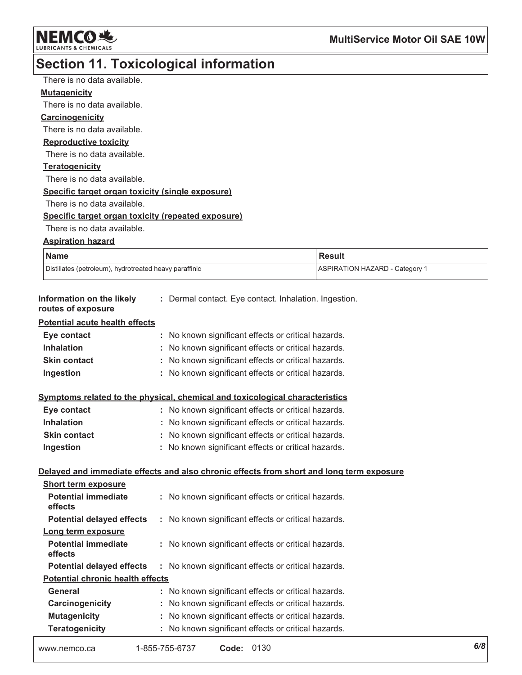**NEMCO头** LUBRICANTS & CHEMICALS

# Section 11. Toxicological information

| There is no data available.                                                              |                                                       |                                       |  |
|------------------------------------------------------------------------------------------|-------------------------------------------------------|---------------------------------------|--|
| <b>Mutagenicity</b>                                                                      |                                                       |                                       |  |
| There is no data available.                                                              |                                                       |                                       |  |
| <b>Carcinogenicity</b>                                                                   |                                                       |                                       |  |
| There is no data available.                                                              |                                                       |                                       |  |
| <b>Reproductive toxicity</b>                                                             |                                                       |                                       |  |
| There is no data available.                                                              |                                                       |                                       |  |
| <b>Teratogenicity</b>                                                                    |                                                       |                                       |  |
| There is no data available.                                                              |                                                       |                                       |  |
| Specific target organ toxicity (single exposure)                                         |                                                       |                                       |  |
| There is no data available.                                                              |                                                       |                                       |  |
| Specific target organ toxicity (repeated exposure)                                       |                                                       |                                       |  |
| There is no data available.                                                              |                                                       |                                       |  |
| <b>Aspiration hazard</b>                                                                 |                                                       |                                       |  |
| <b>Name</b>                                                                              |                                                       | <b>Result</b>                         |  |
| Distillates (petroleum), hydrotreated heavy paraffinic                                   |                                                       | <b>ASPIRATION HAZARD - Category 1</b> |  |
| Information on the likely<br>routes of exposure                                          | : Dermal contact. Eye contact. Inhalation. Ingestion. |                                       |  |
| Potential acute health effects                                                           |                                                       |                                       |  |
| Eye contact                                                                              | : No known significant effects or critical hazards.   |                                       |  |
| <b>Inhalation</b>                                                                        | : No known significant effects or critical hazards.   |                                       |  |
| <b>Skin contact</b>                                                                      | : No known significant effects or critical hazards.   |                                       |  |
| Ingestion                                                                                | : No known significant effects or critical hazards.   |                                       |  |
| Symptoms related to the physical, chemical and toxicological characteristics             |                                                       |                                       |  |
| Eye contact                                                                              | : No known significant effects or critical hazards.   |                                       |  |
| Inhalation                                                                               | : No known significant effects or critical hazards.   |                                       |  |
| <b>Skin contact</b>                                                                      | : No known significant effects or critical hazards.   |                                       |  |
| Ingestion                                                                                | : No known significant effects or critical hazards.   |                                       |  |
| Delayed and immediate effects and also chronic effects from short and long term exposure |                                                       |                                       |  |
| <b>Short term exposure</b>                                                               |                                                       |                                       |  |
| <b>Potential immediate</b><br>effects                                                    | No known significant effects or critical hazards.     |                                       |  |
| <b>Potential delayed effects</b>                                                         | : No known significant effects or critical hazards.   |                                       |  |
| Long term exposure                                                                       |                                                       |                                       |  |
| <b>Potential immediate</b><br>effects                                                    | No known significant effects or critical hazards.     |                                       |  |
| <b>Potential delayed effects</b>                                                         | No known significant effects or critical hazards.     |                                       |  |
| <b>Potential chronic health effects</b>                                                  |                                                       |                                       |  |
| General                                                                                  | : No known significant effects or critical hazards.   |                                       |  |
| Carcinogenicity                                                                          | No known significant effects or critical hazards.     |                                       |  |
| <b>Mutagenicity</b>                                                                      | No known significant effects or critical hazards.     |                                       |  |
| <b>Teratogenicity</b>                                                                    | : No known significant effects or critical hazards.   |                                       |  |

```
Code: 0130
                     1-855-755-6737
www.nemco.ca
```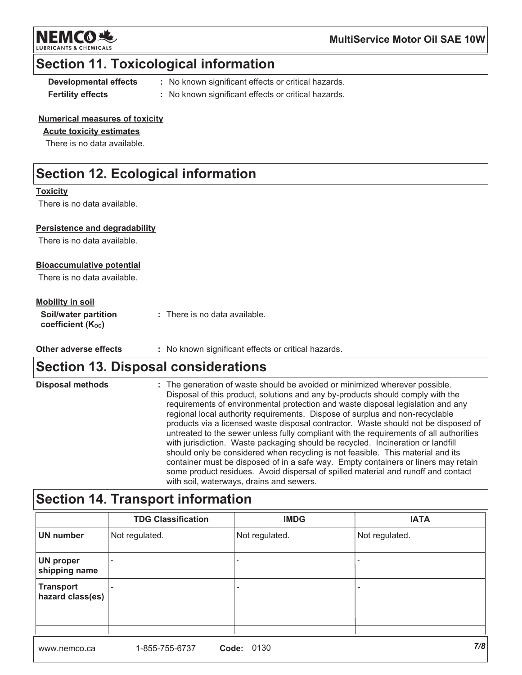

### **Section 11. Toxicological information**

**Developmental effects Fertility effects** 

- : No known significant effects or critical hazards.
- : No known significant effects or critical hazards.

#### **Numerical measures of toxicity**

#### **Acute toxicity estimates**

There is no data available.

## **Section 12. Ecological information**

#### **Toxicity**

There is no data available.

#### **Persistence and degradability**

There is no data available.

#### **Bioaccumulative potential**

There is no data available.

#### **Mobility in soil**

| <b>Soil/water partition</b>    | : There is no data available. |
|--------------------------------|-------------------------------|
| coefficient (K <sub>oc</sub> ) |                               |

Other adverse effects : No known significant effects or critical hazards.

## **Section 13. Disposal considerations**

| <b>Disposal methods</b> | : The generation of waste should be avoided or minimized wherever possible.<br>Disposal of this product, solutions and any by-products should comply with the<br>requirements of environmental protection and waste disposal legislation and any<br>regional local authority requirements. Dispose of surplus and non-recyclable<br>products via a licensed waste disposal contractor. Waste should not be disposed of<br>untreated to the sewer unless fully compliant with the requirements of all authorities<br>with jurisdiction. Waste packaging should be recycled. Incineration or landfill<br>should only be considered when recycling is not feasible. This material and its<br>container must be disposed of in a safe way. Empty containers or liners may retain |
|-------------------------|------------------------------------------------------------------------------------------------------------------------------------------------------------------------------------------------------------------------------------------------------------------------------------------------------------------------------------------------------------------------------------------------------------------------------------------------------------------------------------------------------------------------------------------------------------------------------------------------------------------------------------------------------------------------------------------------------------------------------------------------------------------------------|
|                         | some product residues. Avoid dispersal of spilled material and runoff and contact<br>with soil, waterways, drains and sewers.                                                                                                                                                                                                                                                                                                                                                                                                                                                                                                                                                                                                                                                |

## Section 14. Transport information

|                                   | <b>TDG Classification</b> | <b>IMDG</b>    | <b>IATA</b>    |
|-----------------------------------|---------------------------|----------------|----------------|
| <b>UN number</b>                  | Not regulated.            | Not regulated. | Not regulated. |
| <b>UN proper</b><br>shipping name |                           |                |                |
| Transport<br>hazard class(es)     |                           | -              | -              |
|                                   |                           |                | 7/8            |